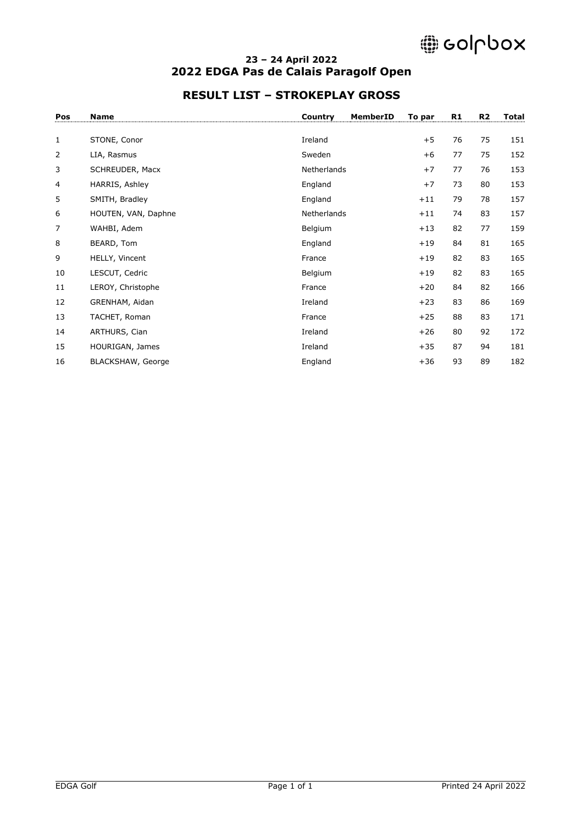# @ colpbox

#### **– 24 April 2022 2022 EDGA Pas de Calais Paragolf Open**

### **RESULT LIST – STROKEPLAY GROSS**

| Pos            | <b>Name</b>         | Country<br>MemberID | To par | R1 | R <sub>2</sub> | <b>Total</b> |
|----------------|---------------------|---------------------|--------|----|----------------|--------------|
| $\mathbf{1}$   | STONE, Conor        | Ireland             | $+5$   | 76 | 75             | 151          |
| $\overline{2}$ | LIA, Rasmus         | Sweden              | $+6$   | 77 | 75             | 152          |
| 3              | SCHREUDER, Macx     | Netherlands         | $+7$   | 77 | 76             | 153          |
| 4              | HARRIS, Ashley      | England             | $+7$   | 73 | 80             | 153          |
| 5              | SMITH, Bradley      | England             | $+11$  | 79 | 78             | 157          |
| 6              | HOUTEN, VAN, Daphne | Netherlands         | $+11$  | 74 | 83             | 157          |
| 7              | WAHBI, Adem         | Belgium             | $+13$  | 82 | 77             | 159          |
| 8              | BEARD, Tom          | England             | $+19$  | 84 | 81             | 165          |
| 9              | HELLY, Vincent      | France              | $+19$  | 82 | 83             | 165          |
| 10             | LESCUT, Cedric      | Belgium             | $+19$  | 82 | 83             | 165          |
| 11             | LEROY, Christophe   | France              | $+20$  | 84 | 82             | 166          |
| 12             | GRENHAM, Aidan      | Ireland             | $+23$  | 83 | 86             | 169          |
| 13             | TACHET, Roman       | France              | $+25$  | 88 | 83             | 171          |
| 14             | ARTHURS, Cian       | Ireland             | $+26$  | 80 | 92             | 172          |
| 15             | HOURIGAN, James     | Ireland             | $+35$  | 87 | 94             | 181          |
| 16             | BLACKSHAW, George   | England             | $+36$  | 93 | 89             | 182          |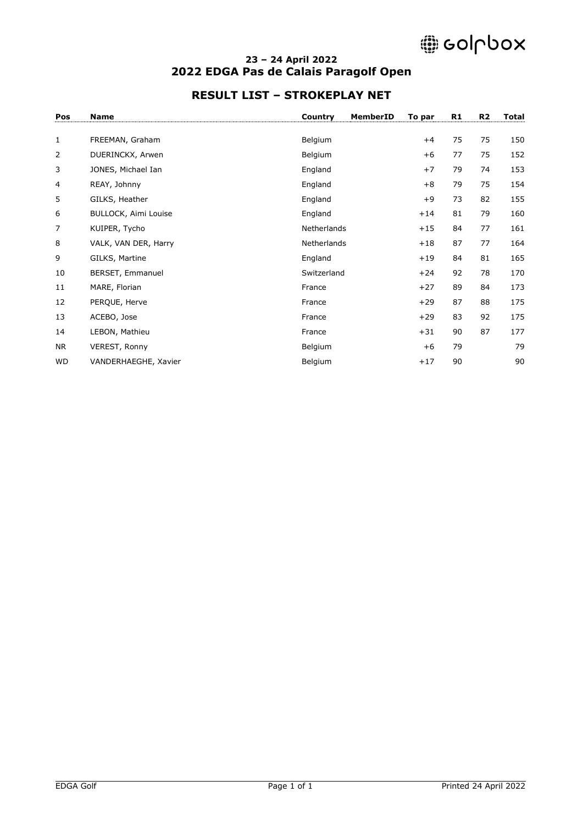# @ colpbox

#### **– 24 April 2022 2022 EDGA Pas de Calais Paragolf Open**

### **RESULT LIST – STROKEPLAY NET**

| Pos          | <b>Name</b>          | Country     | MemberID | To par | R1 | R <sub>2</sub> | <b>Total</b> |
|--------------|----------------------|-------------|----------|--------|----|----------------|--------------|
|              |                      |             |          |        |    |                |              |
| $\mathbf{1}$ | FREEMAN, Graham      | Belgium     |          | $+4$   | 75 | 75             | 150          |
| 2            | DUERINCKX, Arwen     | Belgium     |          | $+6$   | 77 | 75             | 152          |
| 3            | JONES, Michael Ian   | England     |          | $+7$   | 79 | 74             | 153          |
| 4            | REAY, Johnny         | England     |          | $+8$   | 79 | 75             | 154          |
| 5            | GILKS, Heather       | England     |          | $+9$   | 73 | 82             | 155          |
| 6            | BULLOCK, Aimi Louise | England     |          | $+14$  | 81 | 79             | 160          |
| 7            | KUIPER, Tycho        | Netherlands |          | $+15$  | 84 | 77             | 161          |
| 8            | VALK, VAN DER, Harry | Netherlands |          | $+18$  | 87 | 77             | 164          |
| 9            | GILKS, Martine       | England     |          | $+19$  | 84 | 81             | 165          |
| 10           | BERSET, Emmanuel     | Switzerland |          | $+24$  | 92 | 78             | 170          |
| 11           | MARE, Florian        | France      |          | $+27$  | 89 | 84             | 173          |
| 12           | PERQUE, Herve        | France      |          | $+29$  | 87 | 88             | 175          |
| 13           | ACEBO, Jose          | France      |          | $+29$  | 83 | 92             | 175          |
| 14           | LEBON, Mathieu       | France      |          | $+31$  | 90 | 87             | 177          |
| <b>NR</b>    | VEREST, Ronny        | Belgium     |          | $+6$   | 79 |                | 79           |
| <b>WD</b>    | VANDERHAEGHE, Xavier | Belgium     |          | $+17$  | 90 |                | 90           |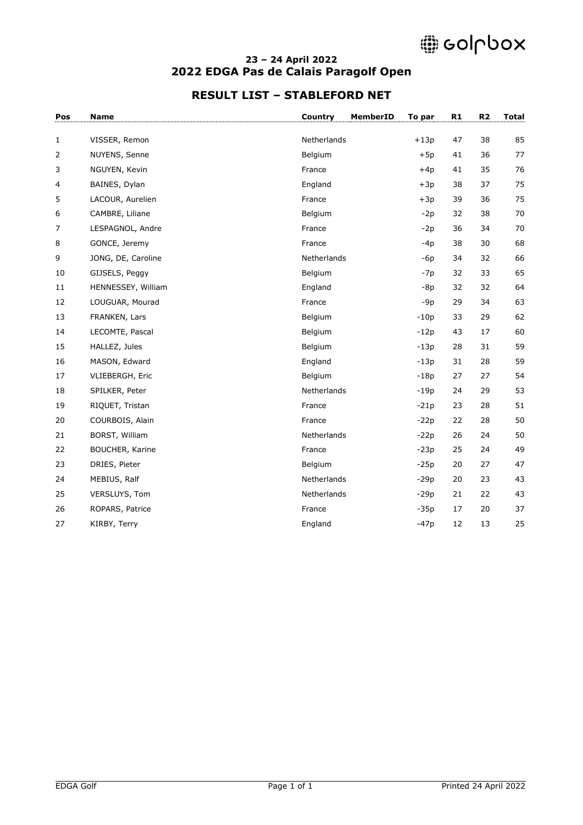# @ colpbox

#### **– 24 April 2022 2022 EDGA Pas de Calais Paragolf Open**

### **RESULT LIST – STABLEFORD NET**

| Pos          | <b>Name</b>            | Country     | MemberID<br>To par | R1 | R <sub>2</sub> | <b>Total</b> |
|--------------|------------------------|-------------|--------------------|----|----------------|--------------|
| $\mathbf{1}$ | VISSER, Remon          | Netherlands | $+13p$             | 47 | 38             | 85           |
| 2            | NUYENS, Senne          | Belgium     | $+5p$              | 41 | 36             | 77           |
| 3            | NGUYEN, Kevin          | France      | $+4p$              | 41 | 35             | 76           |
| 4            | BAINES, Dylan          | England     | $+3p$              | 38 | 37             | 75           |
| 5            | LACOUR, Aurelien       | France      | $+3p$              | 39 | 36             | 75           |
| 6            | CAMBRE, Liliane        | Belgium     | $-2p$              | 32 | 38             | 70           |
| 7            | LESPAGNOL, Andre       | France      | $-2p$              | 36 | 34             | 70           |
| 8            | GONCE, Jeremy          | France      | $-4p$              | 38 | 30             | 68           |
| 9            | JONG, DE, Caroline     | Netherlands | $-6p$              | 34 | 32             | 66           |
| 10           | GIJSELS, Peggy         | Belgium     | $-7p$              | 32 | 33             | 65           |
| 11           | HENNESSEY, William     | England     | $-8p$              | 32 | 32             | 64           |
| 12           | LOUGUAR, Mourad        | France      | $-9p$              | 29 | 34             | 63           |
| 13           | FRANKEN, Lars          | Belgium     | $-10p$             | 33 | 29             | 62           |
| 14           | LECOMTE, Pascal        | Belgium     | $-12p$             | 43 | 17             | 60           |
| 15           | HALLEZ, Jules          | Belgium     | $-13p$             | 28 | 31             | 59           |
| 16           | MASON, Edward          | England     | $-13p$             | 31 | 28             | 59           |
| 17           | VLIEBERGH, Eric        | Belgium     | $-18p$             | 27 | 27             | 54           |
| 18           | SPILKER, Peter         | Netherlands | $-19p$             | 24 | 29             | 53           |
| 19           | RIQUET, Tristan        | France      | $-21p$             | 23 | 28             | 51           |
| 20           | COURBOIS, Alain        | France      | $-22p$             | 22 | 28             | 50           |
| 21           | BORST, William         | Netherlands | $-22p$             | 26 | 24             | 50           |
| 22           | <b>BOUCHER, Karine</b> | France      | $-23p$             | 25 | 24             | 49           |
| 23           | DRIES, Pieter          | Belgium     | $-25p$             | 20 | 27             | 47           |
| 24           | MEBIUS, Ralf           | Netherlands | $-29p$             | 20 | 23             | 43           |
| 25           | VERSLUYS, Tom          | Netherlands | $-29p$             | 21 | 22             | 43           |
| 26           | ROPARS, Patrice        | France      | $-35p$             | 17 | 20             | 37           |
| 27           | KIRBY, Terry           | England     | $-47p$             | 12 | 13             | 25           |